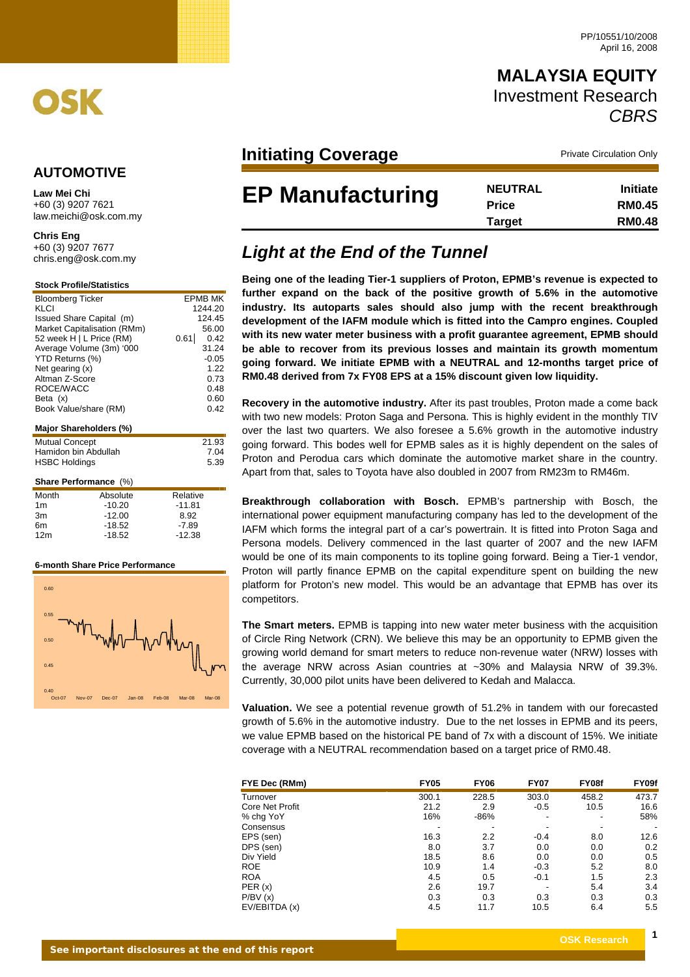

# **MALAYSIA EQUITY** Investment Research *CBRS*

## **Initiating Coverage Private Circulation Only**

| <b>EP Manufacturing</b> | <b>NEUTRAL</b> | <b>Initiate</b> |
|-------------------------|----------------|-----------------|
|                         | <b>Price</b>   | <b>RM0.45</b>   |
|                         | Target         | <b>RM0.48</b>   |

# **Light at the End of the Tunnel**

**Being one of the leading Tier-1 suppliers of Proton, EPMB's revenue is expected to further expand on the back of the positive growth of 5.6% in the automotive industry. Its autoparts sales should also jump with the recent breakthrough development of the IAFM module which is fitted into the Campro engines. Coupled with its new water meter business with a profit guarantee agreement, EPMB should be able to recover from its previous losses and maintain its growth momentum going forward. We initiate EPMB with a NEUTRAL and 12-months target price of RM0.48 derived from 7x FY08 EPS at a 15% discount given low liquidity.** 

**Recovery in the automotive industry.** After its past troubles, Proton made a come back with two new models: Proton Saga and Persona. This is highly evident in the monthly TIV over the last two quarters. We also foresee a 5.6% growth in the automotive industry going forward. This bodes well for EPMB sales as it is highly dependent on the sales of Proton and Perodua cars which dominate the automotive market share in the country. Apart from that, sales to Toyota have also doubled in 2007 from RM23m to RM46m.

**Breakthrough collaboration with Bosch.** EPMB's partnership with Bosch, the international power equipment manufacturing company has led to the development of the IAFM which forms the integral part of a car's powertrain. It is fitted into Proton Saga and Persona models. Delivery commenced in the last quarter of 2007 and the new IAFM would be one of its main components to its topline going forward. Being a Tier-1 vendor, Proton will partly finance EPMB on the capital expenditure spent on building the new platform for Proton's new model. This would be an advantage that EPMB has over its competitors.

**The Smart meters.** EPMB is tapping into new water meter business with the acquisition of Circle Ring Network (CRN). We believe this may be an opportunity to EPMB given the growing world demand for smart meters to reduce non-revenue water (NRW) losses with the average NRW across Asian countries at ~30% and Malaysia NRW of 39.3%. Currently, 30,000 pilot units have been delivered to Kedah and Malacca.

**Valuation.** We see a potential revenue growth of 51.2% in tandem with our forecasted growth of 5.6% in the automotive industry. Due to the net losses in EPMB and its peers, we value EPMB based on the historical PE band of 7x with a discount of 15%. We initiate coverage with a NEUTRAL recommendation based on a target price of RM0.48.

| FYE Dec (RMm)   | <b>FY05</b> | <b>FY06</b> | <b>FY07</b> | FY08f | FY09f |
|-----------------|-------------|-------------|-------------|-------|-------|
| Turnover        | 300.1       | 228.5       | 303.0       | 458.2 | 473.7 |
| Core Net Profit | 21.2        | 2.9         | $-0.5$      | 10.5  | 16.6  |
| % chg YoY       | 16%         | $-86%$      |             |       | 58%   |
| Consensus       | -           |             |             |       |       |
| EPS (sen)       | 16.3        | 2.2         | $-0.4$      | 8.0   | 12.6  |
| DPS (sen)       | 8.0         | 3.7         | 0.0         | 0.0   | 0.2   |
| Div Yield       | 18.5        | 8.6         | 0.0         | 0.0   | 0.5   |
| <b>ROE</b>      | 10.9        | 1.4         | $-0.3$      | 5.2   | 8.0   |
| <b>ROA</b>      | 4.5         | 0.5         | $-0.1$      | 1.5   | 2.3   |
| PER(x)          | 2.6         | 19.7        |             | 5.4   | 3.4   |
| P/BV(x)         | 0.3         | 0.3         | 0.3         | 0.3   | 0.3   |
| EV/EBITDA (x)   | 4.5         | 11.7        | 10.5        | 6.4   | 5.5   |

## **AUTOMOTIVE**

**Law Mei Chi**  +60 (3) 9207 7621 law.meichi@osk.com.my

**Chris Eng** 

+60 (3) 9207 7677<br>chris.eng@osk.com.my

### **Stock Profile/Statistics**

| <b>Bloomberg Ticker</b> |                              | EPMB MK      |
|-------------------------|------------------------------|--------------|
| KLCI                    |                              | 1244.20      |
|                         | Issued Share Capital (m)     | 124.45       |
|                         | Market Capitalisation (RMm)  | 56.00        |
|                         | 52 week H   L Price (RM)     | 0.61<br>0.42 |
|                         | Average Volume (3m) '000     | 31.24        |
| YTD Returns (%)         |                              | $-0.05$      |
| Net gearing (x)         |                              | 1.22         |
| Altman Z-Score          |                              | 0.73         |
| ROCE/WACC               |                              | 0.48         |
| Beta (x)                |                              | 0.60         |
| Book Value/share (RM)   |                              | 0.42         |
|                         |                              |              |
|                         | Major Shareholders (%)       |              |
| <b>Mutual Concept</b>   |                              | 21.93        |
| Hamidon bin Abdullah    |                              | 7.04         |
| <b>HSBC Holdings</b>    |                              | 5.39         |
|                         |                              |              |
|                         | <b>Share Performance (%)</b> |              |
| Month                   | Absolute                     | Relative     |
| 1m                      | -10.20                       | -11.81       |

| .               | .        | .        |
|-----------------|----------|----------|
| 1 <sub>m</sub>  | $-10.20$ | $-11.81$ |
| 3m              | $-12.00$ | 8.92     |
| 6m              | $-18.52$ | -7.89    |
| 12 <sub>m</sub> | $-18.52$ | $-12.38$ |
|                 |          |          |

#### **6-month Share Price Performance**

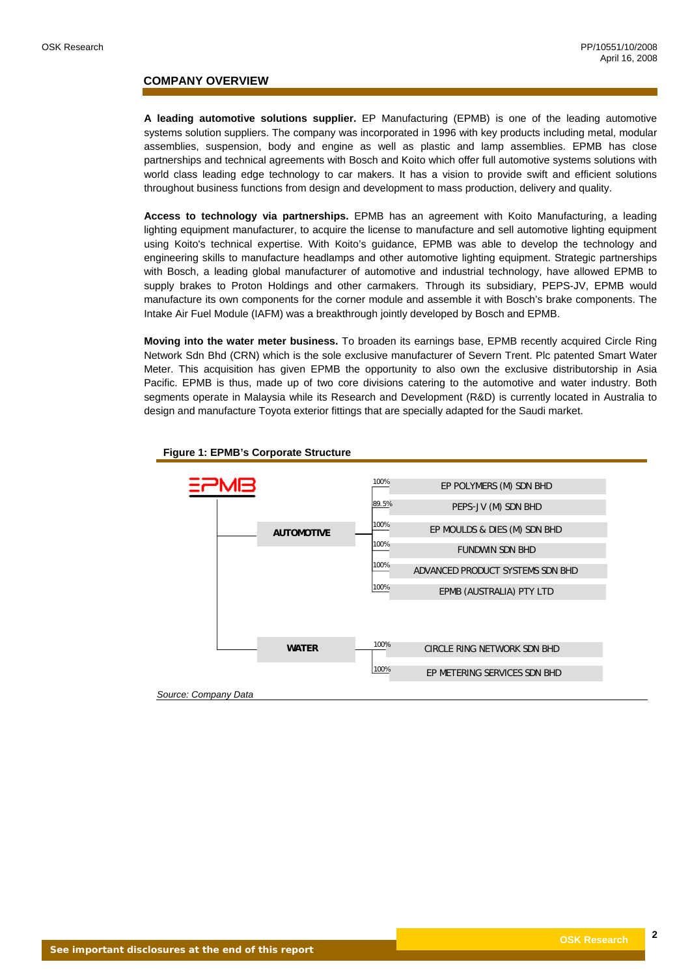### **COMPANY OVERVIEW**

**A leading automotive solutions supplier.** EP Manufacturing (EPMB) is one of the leading automotive systems solution suppliers. The company was incorporated in 1996 with key products including metal, modular assemblies, suspension, body and engine as well as plastic and lamp assemblies. EPMB has close partnerships and technical agreements with Bosch and Koito which offer full automotive systems solutions with world class leading edge technology to car makers. It has a vision to provide swift and efficient solutions throughout business functions from design and development to mass production, delivery and quality.

**Access to technology via partnerships.** EPMB has an agreement with Koito Manufacturing, a leading lighting equipment manufacturer, to acquire the license to manufacture and sell automotive lighting equipment using Koito's technical expertise. With Koito's guidance, EPMB was able to develop the technology and engineering skills to manufacture headlamps and other automotive lighting equipment. Strategic partnerships with Bosch, a leading global manufacturer of automotive and industrial technology, have allowed EPMB to supply brakes to Proton Holdings and other carmakers. Through its subsidiary, PEPS-JV, EPMB would manufacture its own components for the corner module and assemble it with Bosch's brake components. The Intake Air Fuel Module (IAFM) was a breakthrough jointly developed by Bosch and EPMB.

**Moving into the water meter business.** To broaden its earnings base, EPMB recently acquired Circle Ring Network Sdn Bhd (CRN) which is the sole exclusive manufacturer of Severn Trent. Plc patented Smart Water Meter. This acquisition has given EPMB the opportunity to also own the exclusive distributorship in Asia Pacific. EPMB is thus, made up of two core divisions catering to the automotive and water industry. Both segments operate in Malaysia while its Research and Development (R&D) is currently located in Australia to design and manufacture Toyota exterior fittings that are specially adapted for the Saudi market.



#### **Figure 1: EPMB's Corporate Structure**

*Source: Company Data*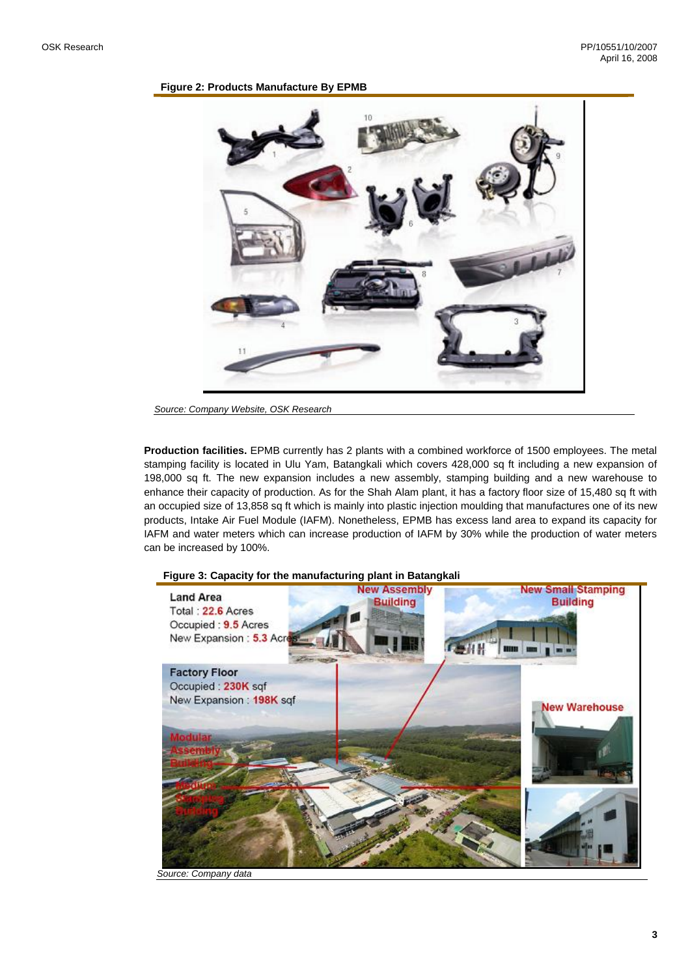### **Figure 2: Products Manufacture By EPMB**



*Source: Company Website, OSK Research*

**Production facilities.** EPMB currently has 2 plants with a combined workforce of 1500 employees. The metal stamping facility is located in Ulu Yam, Batangkali which covers 428,000 sq ft including a new expansion of 198,000 sq ft. The new expansion includes a new assembly, stamping building and a new warehouse to enhance their capacity of production. As for the Shah Alam plant, it has a factory floor size of 15,480 sq ft with an occupied size of 13,858 sq ft which is mainly into plastic injection moulding that manufactures one of its new products, Intake Air Fuel Module (IAFM). Nonetheless, EPMB has excess land area to expand its capacity for IAFM and water meters which can increase production of IAFM by 30% while the production of water meters can be increased by 100%.



**Figure 3: Capacity for the manufacturing plant in Batangkali** 

*Source: Company data*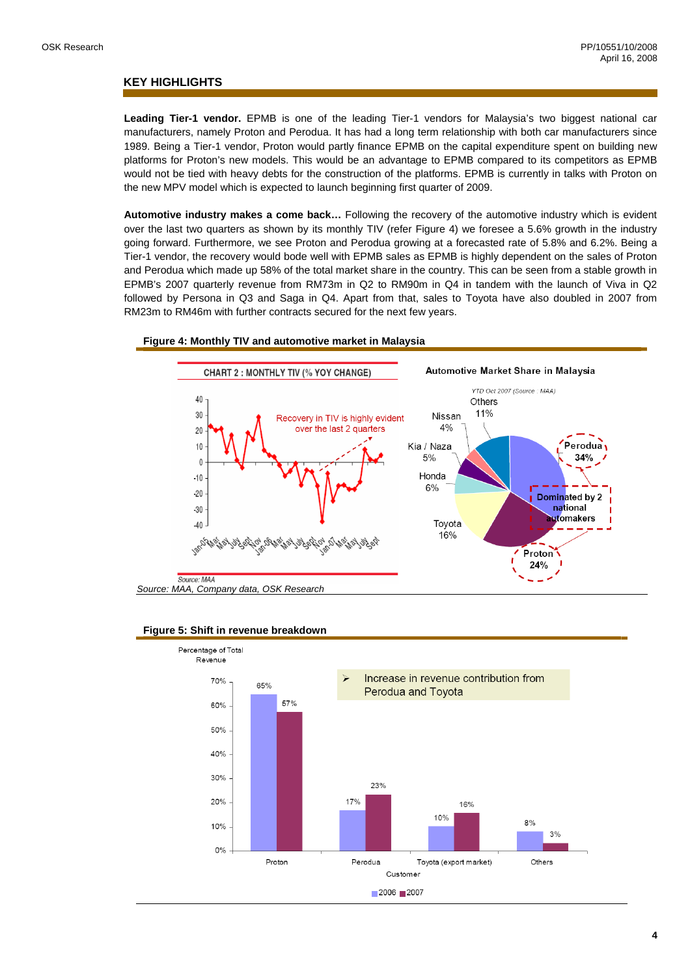### **KEY HIGHLIGHTS**

**Leading Tier-1 vendor.** EPMB is one of the leading Tier-1 vendors for Malaysia's two biggest national car manufacturers, namely Proton and Perodua. It has had a long term relationship with both car manufacturers since 1989. Being a Tier-1 vendor, Proton would partly finance EPMB on the capital expenditure spent on building new platforms for Proton's new models. This would be an advantage to EPMB compared to its competitors as EPMB would not be tied with heavy debts for the construction of the platforms. EPMB is currently in talks with Proton on the new MPV model which is expected to launch beginning first quarter of 2009.

**Automotive industry makes a come back…** Following the recovery of the automotive industry which is evident over the last two quarters as shown by its monthly TIV (refer Figure 4) we foresee a 5.6% growth in the industry going forward. Furthermore, we see Proton and Perodua growing at a forecasted rate of 5.8% and 6.2%. Being a Tier-1 vendor, the recovery would bode well with EPMB sales as EPMB is highly dependent on the sales of Proton and Perodua which made up 58% of the total market share in the country. This can be seen from a stable growth in EPMB's 2007 quarterly revenue from RM73m in Q2 to RM90m in Q4 in tandem with the launch of Viva in Q2 followed by Persona in Q3 and Saga in Q4. Apart from that, sales to Toyota have also doubled in 2007 from RM23m to RM46m with further contracts secured for the next few years.





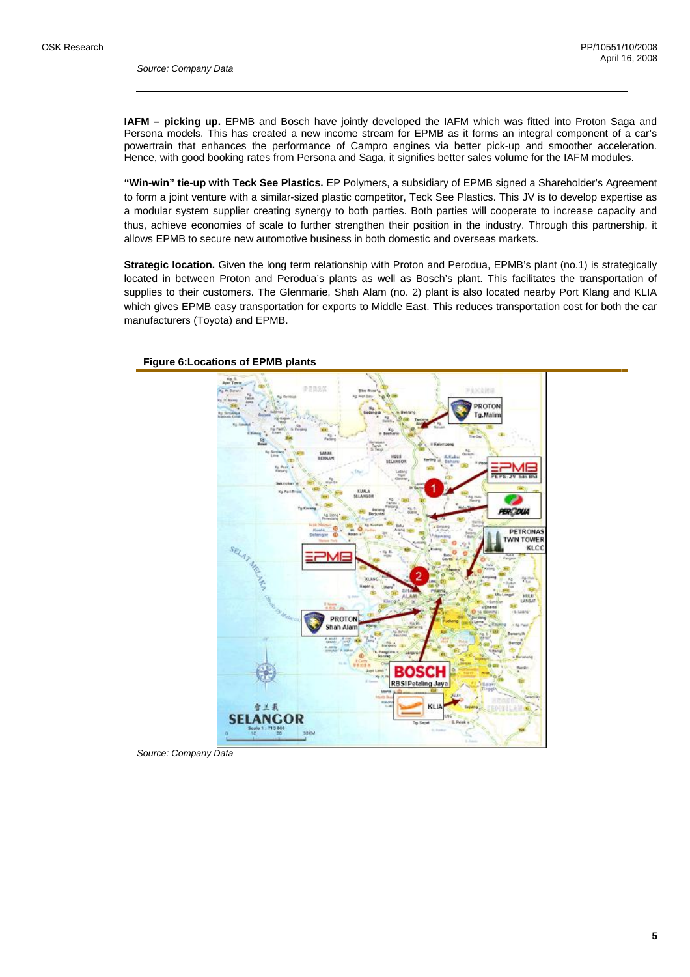**IAFM – picking up.** EPMB and Bosch have jointly developed the IAFM which was fitted into Proton Saga and Persona models. This has created a new income stream for EPMB as it forms an integral component of a car's powertrain that enhances the performance of Campro engines via better pick-up and smoother acceleration. Hence, with good booking rates from Persona and Saga, it signifies better sales volume for the IAFM modules.

**"Win-win" tie-up with Teck See Plastics.** EP Polymers, a subsidiary of EPMB signed a Shareholder's Agreement to form a joint venture with a similar-sized plastic competitor, Teck See Plastics. This JV is to develop expertise as a modular system supplier creating synergy to both parties. Both parties will cooperate to increase capacity and thus, achieve economies of scale to further strengthen their position in the industry. Through this partnership, it allows EPMB to secure new automotive business in both domestic and overseas markets.

**Strategic location.** Given the long term relationship with Proton and Perodua, EPMB's plant (no.1) is strategically located in between Proton and Perodua's plants as well as Bosch's plant. This facilitates the transportation of supplies to their customers. The Glenmarie, Shah Alam (no. 2) plant is also located nearby Port Klang and KLIA which gives EPMB easy transportation for exports to Middle East. This reduces transportation cost for both the car manufacturers (Toyota) and EPMB.



### **Figure 6:Locations of EPMB plants**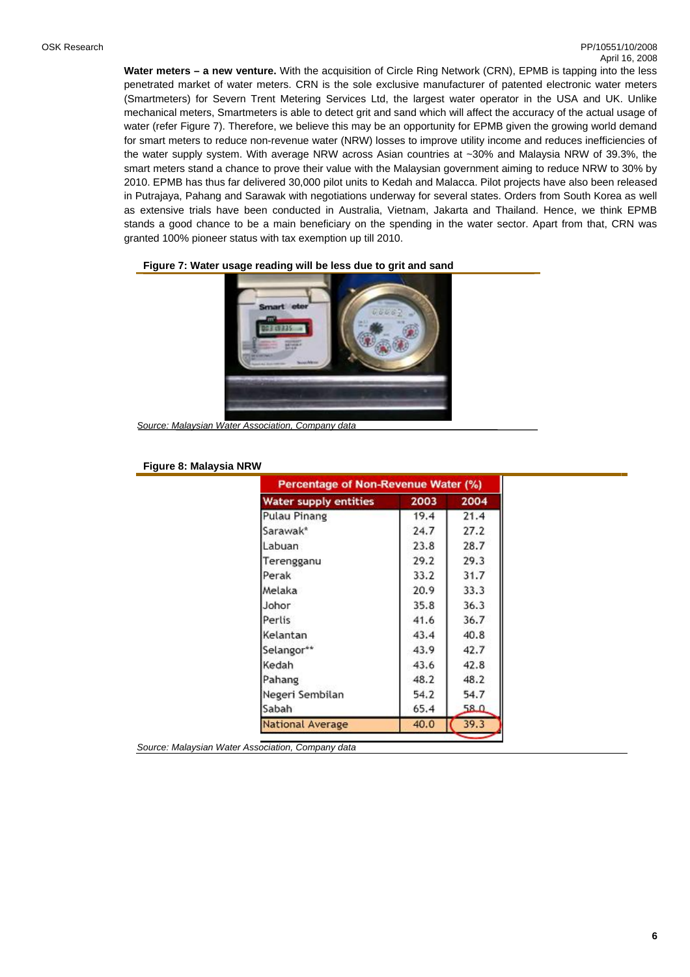**Water meters – a new venture.** With the acquisition of Circle Ring Network (CRN), EPMB is tapping into the less penetrated market of water meters. CRN is the sole exclusive manufacturer of patented electronic water meters (Smartmeters) for Severn Trent Metering Services Ltd, the largest water operator in the USA and UK. Unlike mechanical meters, Smartmeters is able to detect grit and sand which will affect the accuracy of the actual usage of water (refer Figure 7). Therefore, we believe this may be an opportunity for EPMB given the growing world demand for smart meters to reduce non-revenue water (NRW) losses to improve utility income and reduces inefficiencies of the water supply system. With average NRW across Asian countries at ~30% and Malaysia NRW of 39.3%, the smart meters stand a chance to prove their value with the Malaysian government aiming to reduce NRW to 30% by 2010. EPMB has thus far delivered 30,000 pilot units to Kedah and Malacca. Pilot projects have also been released in Putrajaya, Pahang and Sarawak with negotiations underway for several states. Orders from South Korea as well as extensive trials have been conducted in Australia, Vietnam, Jakarta and Thailand. Hence, we think EPMB stands a good chance to be a main beneficiary on the spending in the water sector. Apart from that, CRN was granted 100% pioneer status with tax exemption up till 2010.



**Figure 7: Water usage reading will be less due to grit and sand** 

*Source: Malaysian Water Association, Company data*

#### **Figure 8: Malaysia NRW**

| <b>Water supply entities</b> | 2003 | 2004 |  |
|------------------------------|------|------|--|
| <b>Pulau Pinang</b>          | 19.4 | 21.4 |  |
| Sarawak*                     | 24.7 | 27.2 |  |
| Labuan                       | 23.8 | 28.7 |  |
| Terengganu                   | 29.2 | 29.3 |  |
| Perak                        | 33.2 | 31.7 |  |
| Melaka                       | 20.9 | 33.3 |  |
| Johor                        | 35.8 | 36.3 |  |
| Perlis                       | 41.6 | 36.7 |  |
| Kelantan                     | 43.4 | 40.8 |  |
| Selangor**                   | 43.9 | 42.7 |  |
| Kedah                        | 43.6 | 42.8 |  |
| Pahang                       | 48.2 | 48.2 |  |
| Negeri Sembilan              | 54.2 | 54.7 |  |
| Sabah                        | 65.4 | 58.Q |  |
| <b>National Average</b>      | 40.0 | 39.3 |  |

*Source: Malaysian Water Association, Company data*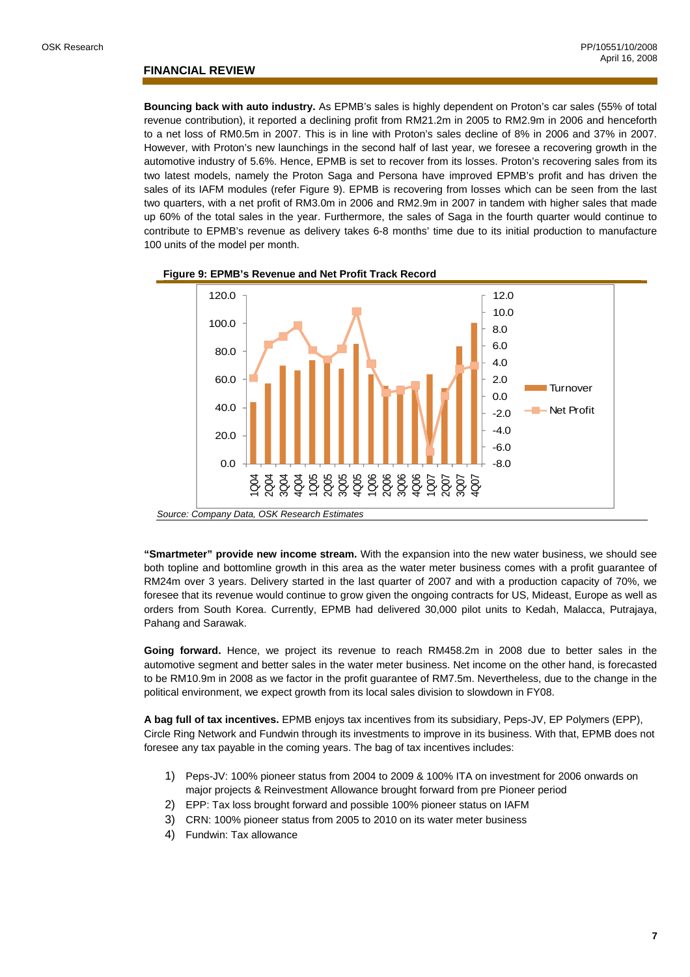### **FINANCIAL REVIEW**

**Bouncing back with auto industry.** As EPMB's sales is highly dependent on Proton's car sales (55% of total revenue contribution), it reported a declining profit from RM21.2m in 2005 to RM2.9m in 2006 and henceforth to a net loss of RM0.5m in 2007. This is in line with Proton's sales decline of 8% in 2006 and 37% in 2007. However, with Proton's new launchings in the second half of last year, we foresee a recovering growth in the automotive industry of 5.6%. Hence, EPMB is set to recover from its losses. Proton's recovering sales from its two latest models, namely the Proton Saga and Persona have improved EPMB's profit and has driven the sales of its IAFM modules (refer Figure 9). EPMB is recovering from losses which can be seen from the last two quarters, with a net profit of RM3.0m in 2006 and RM2.9m in 2007 in tandem with higher sales that made up 60% of the total sales in the year. Furthermore, the sales of Saga in the fourth quarter would continue to contribute to EPMB's revenue as delivery takes 6-8 months' time due to its initial production to manufacture 100 units of the model per month.



**Figure 9: EPMB's Revenue and Net Profit Track Record** 

**"Smartmeter" provide new income stream.** With the expansion into the new water business, we should see both topline and bottomline growth in this area as the water meter business comes with a profit guarantee of RM24m over 3 years. Delivery started in the last quarter of 2007 and with a production capacity of 70%, we foresee that its revenue would continue to grow given the ongoing contracts for US, Mideast, Europe as well as orders from South Korea. Currently, EPMB had delivered 30,000 pilot units to Kedah, Malacca, Putrajaya, Pahang and Sarawak.

**Going forward.** Hence, we project its revenue to reach RM458.2m in 2008 due to better sales in the automotive segment and better sales in the water meter business. Net income on the other hand, is forecasted to be RM10.9m in 2008 as we factor in the profit guarantee of RM7.5m. Nevertheless, due to the change in the political environment, we expect growth from its local sales division to slowdown in FY08.

**A bag full of tax incentives.** EPMB enjoys tax incentives from its subsidiary, Peps-JV, EP Polymers (EPP), Circle Ring Network and Fundwin through its investments to improve in its business. With that, EPMB does not foresee any tax payable in the coming years. The bag of tax incentives includes:

- 1) Peps-JV: 100% pioneer status from 2004 to 2009 & 100% ITA on investment for 2006 onwards on major projects & Reinvestment Allowance brought forward from pre Pioneer period
- 2) EPP: Tax loss brought forward and possible 100% pioneer status on IAFM
- 3) CRN: 100% pioneer status from 2005 to 2010 on its water meter business
- 4) Fundwin: Tax allowance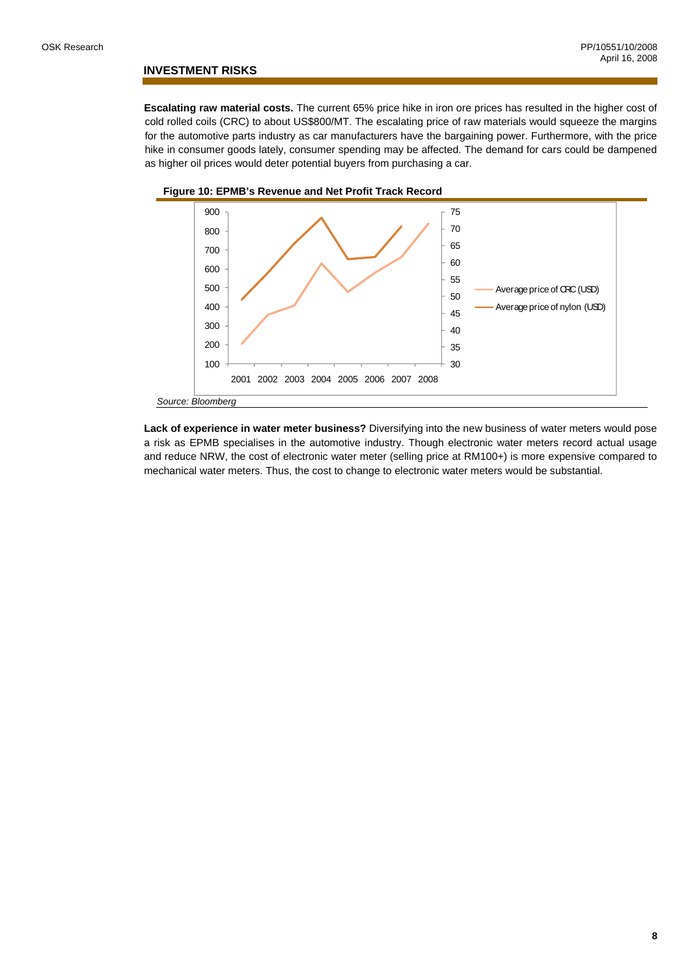### **INVESTMENT RISKS**

**Escalating raw material costs.** The current 65% price hike in iron ore prices has resulted in the higher cost of cold rolled coils (CRC) to about US\$800/MT. The escalating price of raw materials would squeeze the margins for the automotive parts industry as car manufacturers have the bargaining power. Furthermore, with the price hike in consumer goods lately, consumer spending may be affected. The demand for cars could be dampened as higher oil prices would deter potential buyers from purchasing a car.



**Figure 10: EPMB's Revenue and Net Profit Track Record** 

**Lack of experience in water meter business?** Diversifying into the new business of water meters would pose a risk as EPMB specialises in the automotive industry. Though electronic water meters record actual usage and reduce NRW, the cost of electronic water meter (selling price at RM100+) is more expensive compared to mechanical water meters. Thus, the cost to change to electronic water meters would be substantial.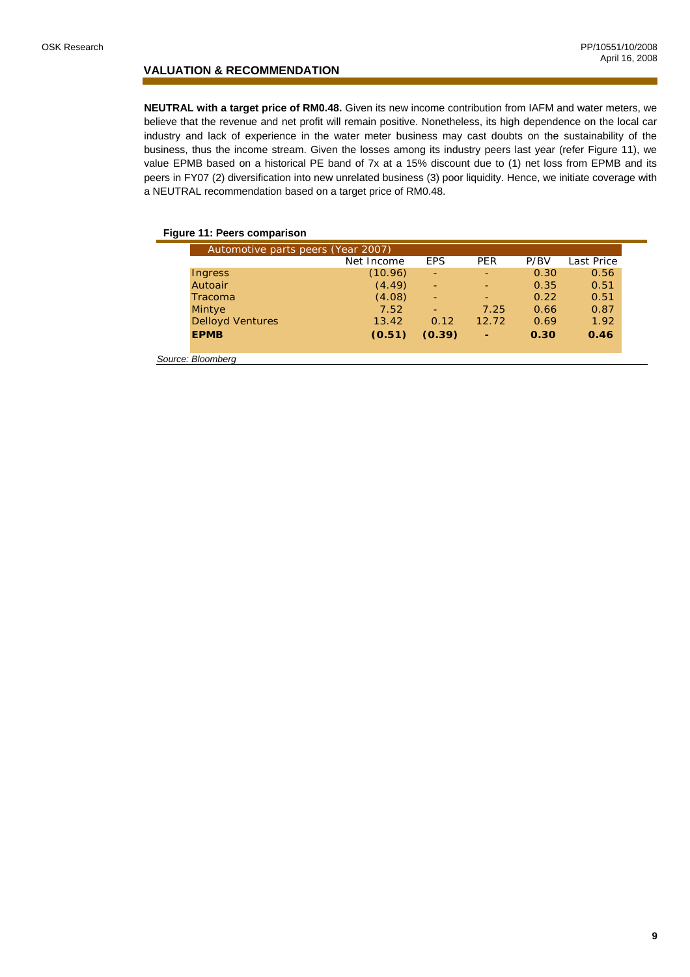### **VALUATION & RECOMMENDATION**

**NEUTRAL with a target price of RM0.48.** Given its new income contribution from IAFM and water meters, we believe that the revenue and net profit will remain positive. Nonetheless, its high dependence on the local car industry and lack of experience in the water meter business may cast doubts on the sustainability of the business, thus the income stream. Given the losses among its industry peers last year (refer Figure 11), we value EPMB based on a historical PE band of 7x at a 15% discount due to (1) net loss from EPMB and its peers in FY07 (2) diversification into new unrelated business (3) poor liquidity. Hence, we initiate coverage with a NEUTRAL recommendation based on a target price of RM0.48.

### **Figure 11: Peers comparison**

| Automotive parts peers (Year 2007) |            |            |            |      |                   |  |  |
|------------------------------------|------------|------------|------------|------|-------------------|--|--|
|                                    | Net Income | <b>EPS</b> | <b>PER</b> | P/BV | <b>Last Price</b> |  |  |
| Ingress                            | (10.96)    | ٠          |            | 0.30 | 0.56              |  |  |
| Autoair                            | (4.49)     | ٠          |            | 0.35 | 0.51              |  |  |
| Tracoma                            | (4.08)     |            |            | 0.22 | 0.51              |  |  |
| <b>Mintye</b>                      | 7.52       |            | 7.25       | 0.66 | 0.87              |  |  |
| <b>Delloyd Ventures</b>            | 13.42      | 0.12       | 12.72      | 0.69 | 1.92              |  |  |
| <b>EPMB</b>                        | (0.51)     | (0.39)     | ٠          | 0.30 | 0.46              |  |  |
| Source: Bloomberg                  |            |            |            |      |                   |  |  |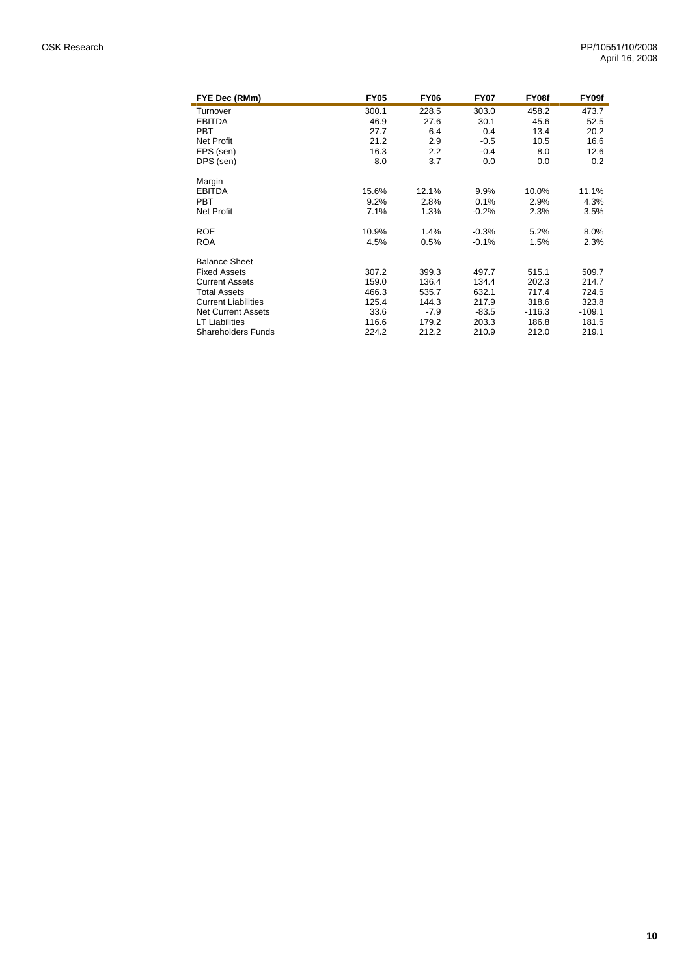| FYE Dec (RMm)              | <b>FY05</b> | <b>FY06</b> | <b>FY07</b> | FY08f    | FY09f    |
|----------------------------|-------------|-------------|-------------|----------|----------|
| Turnover                   | 300.1       | 228.5       | 303.0       | 458.2    | 473.7    |
| <b>EBITDA</b>              | 46.9        | 27.6        | 30.1        | 45.6     | 52.5     |
| <b>PBT</b>                 | 27.7        | 6.4         | 0.4         | 13.4     | 20.2     |
| <b>Net Profit</b>          | 21.2        | 2.9         | $-0.5$      | 10.5     | 16.6     |
| EPS (sen)                  | 16.3        | 2.2         | $-0.4$      | 8.0      | 12.6     |
| DPS (sen)                  | 8.0         | 3.7         | 0.0         | 0.0      | 0.2      |
| Margin                     |             |             |             |          |          |
| <b>EBITDA</b>              | 15.6%       | 12.1%       | 9.9%        | 10.0%    | 11.1%    |
| <b>PBT</b>                 | 9.2%        | 2.8%        | 0.1%        | 2.9%     | 4.3%     |
| <b>Net Profit</b>          | 7.1%        | 1.3%        | $-0.2%$     | 2.3%     | 3.5%     |
| <b>ROE</b>                 | 10.9%       | 1.4%        | $-0.3%$     | 5.2%     | 8.0%     |
| <b>ROA</b>                 | 4.5%        | 0.5%        | $-0.1%$     | 1.5%     | 2.3%     |
| <b>Balance Sheet</b>       |             |             |             |          |          |
| <b>Fixed Assets</b>        | 307.2       | 399.3       | 497.7       | 515.1    | 509.7    |
| <b>Current Assets</b>      | 159.0       | 136.4       | 134.4       | 202.3    | 214.7    |
| <b>Total Assets</b>        | 466.3       | 535.7       | 632.1       | 717.4    | 724.5    |
| <b>Current Liabilities</b> | 125.4       | 144.3       | 217.9       | 318.6    | 323.8    |
| <b>Net Current Assets</b>  | 33.6        | $-7.9$      | $-83.5$     | $-116.3$ | $-109.1$ |
| <b>LT Liabilities</b>      | 116.6       | 179.2       | 203.3       | 186.8    | 181.5    |
| <b>Shareholders Funds</b>  | 224.2       | 212.2       | 210.9       | 212.0    | 219.1    |